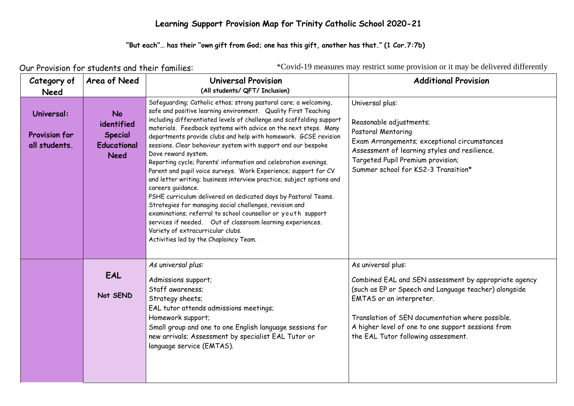#### **Learning Support Provision Map for Trinity Catholic School 2020-21**

#### "But each"... has their "own gift from God; one has this gift, another has that." (1 Cor.7:7b)

Our Provision for students and their families:

\*Covid-19 measures may restrict some provision or it may be delivered differently

| Category of<br><b>Need</b>                          | Area of Need                                                                   | <b>Universal Provision</b><br>(All students/ QFT/ Inclusion)                                                                                                                                                                                                                                                                                                                                                                                                                                                                                                                                                                                                                                                                                                                                                                                                                                                                                                                                                          | <b>Additional Provision</b>                                                                                                                                                                                                                                                                                       |
|-----------------------------------------------------|--------------------------------------------------------------------------------|-----------------------------------------------------------------------------------------------------------------------------------------------------------------------------------------------------------------------------------------------------------------------------------------------------------------------------------------------------------------------------------------------------------------------------------------------------------------------------------------------------------------------------------------------------------------------------------------------------------------------------------------------------------------------------------------------------------------------------------------------------------------------------------------------------------------------------------------------------------------------------------------------------------------------------------------------------------------------------------------------------------------------|-------------------------------------------------------------------------------------------------------------------------------------------------------------------------------------------------------------------------------------------------------------------------------------------------------------------|
| Universal:<br><b>Provision for</b><br>all students. | <b>No</b><br>identified<br><b>Special</b><br><b>Educational</b><br><b>Need</b> | Safeguarding; Catholic ethos; strong pastoral care; a welcoming,<br>safe and positive learning environment. Quality First Teaching<br>including differentiated levels of challenge and scaffolding support<br>materials. Feedback systems with advice on the next steps. Many<br>departments provide clubs and help with homework. GCSE revision<br>sessions. Clear behaviour system with support and our bespoke<br>Dove reward system.<br>Reporting cycle; Parents' information and celebration evenings.<br>Parent and pupil voice surveys. Work Experience; support for CV<br>and letter writing; business interview practice; subject options and<br>careers quidance.<br>PSHE curriculum delivered on dedicated days by Pastoral Teams.<br>Strategies for managing social challenges, revision and<br>examinations; referral to school counsellor or youth support<br>services if needed. Out of classroom learning experiences.<br>Variety of extracurricular clubs.<br>Activities led by the Chaplaincy Team. | Universal plus:<br>Reasonable adjustments;<br>Pastoral Mentoring<br>Exam Arrangements; exceptional circumstances<br>Assessment of learning styles and resilience.<br>Targeted Pupil Premium provision;<br>Summer school for KS2-3 Transition*                                                                     |
|                                                     | EAL<br>Not SEND                                                                | As universal plus:<br>Admissions support;<br>Staff awareness;<br>Strategy sheets;<br>EAL tutor attends admissions meetings;<br>Homework support;<br>Small group and one to one English language sessions for<br>new arrivals; Assessment by specialist EAL Tutor or<br>language service (EMTAS).                                                                                                                                                                                                                                                                                                                                                                                                                                                                                                                                                                                                                                                                                                                      | As universal plus:<br>Combined EAL and SEN assessment by appropriate agency<br>(such as EP or Speech and Language teacher) alongside<br>EMTAS or an interpreter.<br>Translation of SEN documentation where possible.<br>A higher level of one to one support sessions from<br>the EAL Tutor following assessment. |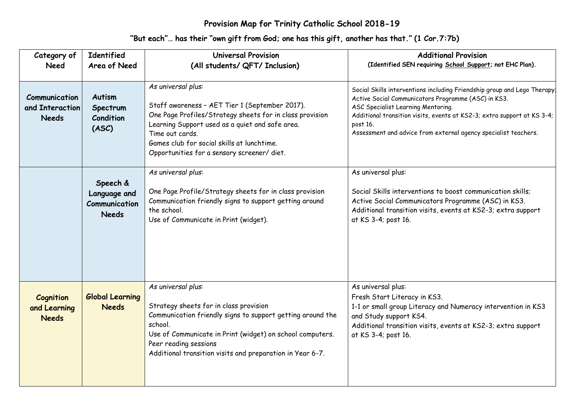#### **Provision Map for Trinity Catholic School 2018-19**

| Category of                                      | <b>Identified</b>                                         | <b>Universal Provision</b>                                                                                                                                                                                                                                                                         | <b>Additional Provision</b>                                                                                                                                                                                                                                                                                                     |
|--------------------------------------------------|-----------------------------------------------------------|----------------------------------------------------------------------------------------------------------------------------------------------------------------------------------------------------------------------------------------------------------------------------------------------------|---------------------------------------------------------------------------------------------------------------------------------------------------------------------------------------------------------------------------------------------------------------------------------------------------------------------------------|
| <b>Need</b>                                      | Area of Need                                              | (All students/ QFT/ Inclusion)                                                                                                                                                                                                                                                                     | (Identified SEN requiring School Support; not EHC Plan).                                                                                                                                                                                                                                                                        |
| Communication<br>and Interaction<br><b>Needs</b> | <b>Autism</b><br>Spectrum<br>Condition<br>(ASC)           | As universal plus:<br>Staff awareness - AET Tier 1 (September 2017).<br>One Page Profiles/Strategy sheets for in class provision<br>Learning Support used as a quiet and safe area.<br>Time out cards.<br>Games club for social skills at lunchtime.<br>Opportunities for a sensory screener/diet. | Social Skills interventions including Friendship group and Lego Therapy.<br>Active Social Communicators Programme (ASC) in KS3.<br>ASC Specialist Learning Mentoring.<br>Additional transition visits, events at KS2-3; extra support at KS 3-4;<br>post 16.<br>Assessment and advice from external agency specialist teachers. |
|                                                  | Speech &<br>Language and<br>Communication<br><b>Needs</b> | As universal plus:<br>One Page Profile/Strategy sheets for in class provision<br>Communication friendly signs to support getting around<br>the school.<br>Use of Communicate in Print (widget).                                                                                                    | As universal plus:<br>Social Skills interventions to boost communication skills;<br>Active Social Communicators Programme (ASC) in KS3.<br>Additional transition visits, events at KS2-3; extra support<br>at KS 3-4; post 16.                                                                                                  |
| Cognition<br>and Learning<br><b>Needs</b>        | <b>Global Learning</b><br><b>Needs</b>                    | As universal plus:<br>Strategy sheets for in class provision<br>Communication friendly signs to support getting around the<br>school.<br>Use of Communicate in Print (widget) on school computers.<br>Peer reading sessions<br>Additional transition visits and preparation in Year 6-7.           | As universal plus:<br>Fresh Start Literacy in KS3.<br>1-1 or small group Literacy and Numeracy intervention in KS3<br>and Study support KS4.<br>Additional transition visits, events at KS2-3; extra support<br>at KS 3-4; post 16.                                                                                             |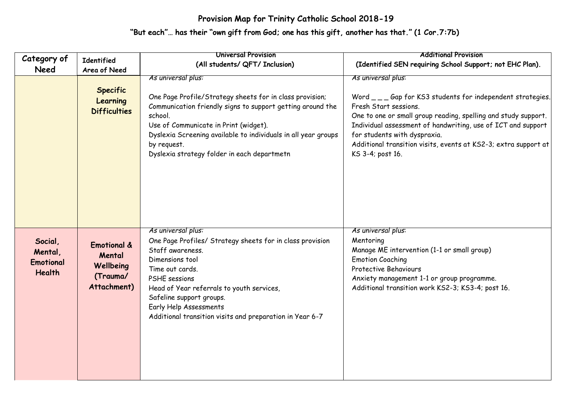### **Provision Map for Trinity Catholic School 2018-19**

| Category of                                             |                                                                          | <b>Universal Provision</b>                                                                                                                                                                                                                                                                                                       | <b>Additional Provision</b>                                                                                                                                                                                                                                                                                                                                       |
|---------------------------------------------------------|--------------------------------------------------------------------------|----------------------------------------------------------------------------------------------------------------------------------------------------------------------------------------------------------------------------------------------------------------------------------------------------------------------------------|-------------------------------------------------------------------------------------------------------------------------------------------------------------------------------------------------------------------------------------------------------------------------------------------------------------------------------------------------------------------|
| <b>Need</b>                                             | <b>Identified</b><br>Area of Need                                        | (All students/ QFT/ Inclusion)                                                                                                                                                                                                                                                                                                   | (Identified SEN requiring School Support; not EHC Plan).                                                                                                                                                                                                                                                                                                          |
|                                                         | <b>Specific</b><br>Learning<br><b>Difficulties</b>                       | As universal plus:<br>One Page Profile/Strategy sheets for in class provision;<br>Communication friendly signs to support getting around the<br>school.<br>Use of Communicate in Print (widget).<br>Dyslexia Screening available to individuals in all year groups<br>by request.<br>Dyslexia strategy folder in each departmetn | As universal plus:<br>Word ___ Gap for KS3 students for independent strategies.<br>Fresh Start sessions.<br>One to one or small group reading, spelling and study support.<br>Individual assessment of handwriting, use of ICT and support<br>for students with dyspraxia.<br>Additional transition visits, events at KS2-3; extra support at<br>KS 3-4; post 16. |
| Social,<br>Mental,<br><b>Emotional</b><br><b>Health</b> | <b>Emotional &amp;</b><br>Mental<br>Wellbeing<br>(Trauma/<br>Attachment) | As universal plus:<br>One Page Profiles/ Strategy sheets for in class provision<br>Staff awareness.<br>Dimensions tool<br>Time out cards.<br>PSHE sessions<br>Head of Year referrals to youth services,<br>Safeline support groups.<br>Early Help Assessments<br>Additional transition visits and preparation in Year 6-7        | As universal plus:<br>Mentoring<br>Manage ME intervention (1-1 or small group)<br><b>Emotion Coaching</b><br><b>Protective Behaviours</b><br>Anxiety management 1-1 or group programme.<br>Additional transition work KS2-3; KS3-4; post 16.                                                                                                                      |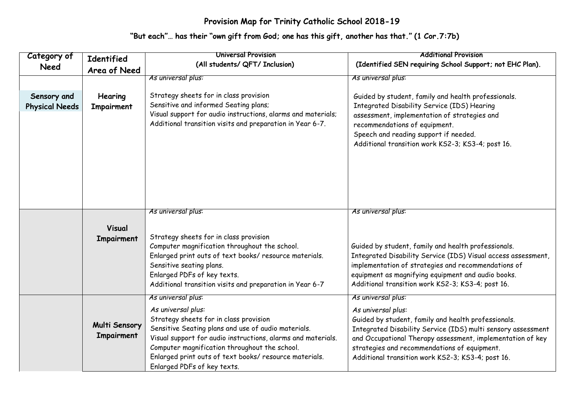### **Provision Map for Trinity Catholic School 2018-19**

| Category of                          | <b>Identified</b>           | <b>Universal Provision</b>                                                                                                                                                                                                                                                                                                                          | <b>Additional Provision</b>                                                                                                                                                                                                                                                                                                        |
|--------------------------------------|-----------------------------|-----------------------------------------------------------------------------------------------------------------------------------------------------------------------------------------------------------------------------------------------------------------------------------------------------------------------------------------------------|------------------------------------------------------------------------------------------------------------------------------------------------------------------------------------------------------------------------------------------------------------------------------------------------------------------------------------|
| <b>Need</b>                          | Area of Need                | (All students/ QFT/ Inclusion)                                                                                                                                                                                                                                                                                                                      | (Identified SEN requiring School Support; not EHC Plan).                                                                                                                                                                                                                                                                           |
|                                      |                             | As universal plus:                                                                                                                                                                                                                                                                                                                                  | As universal plus:                                                                                                                                                                                                                                                                                                                 |
| Sensory and<br><b>Physical Needs</b> | Hearing<br>Impairment       | Strategy sheets for in class provision<br>Sensitive and informed Seating plans;<br>Visual support for audio instructions, alarms and materials;<br>Additional transition visits and preparation in Year 6-7.                                                                                                                                        | Guided by student, family and health professionals.<br>Integrated Disability Service (IDS) Hearing<br>assessment, implementation of strategies and<br>recommendations of equipment.<br>Speech and reading support if needed.<br>Additional transition work KS2-3; KS3-4; post 16.                                                  |
|                                      | Visual<br>Impairment        | As universal plus:<br>Strategy sheets for in class provision<br>Computer magnification throughout the school.<br>Enlarged print outs of text books/ resource materials.<br>Sensitive seating plans.<br>Enlarged PDFs of key texts.<br>Additional transition visits and preparation in Year 6-7                                                      | As universal plus:<br>Guided by student, family and health professionals.<br>Integrated Disability Service (IDS) Visual access assessment,<br>implementation of strategies and recommendations of<br>equipment as magnifying equipment and audio books.<br>Additional transition work KS2-3; KS3-4; post 16.                       |
|                                      | Multi Sensory<br>Impairment | As universal plus:<br>As universal plus:<br>Strategy sheets for in class provision<br>Sensitive Seating plans and use of audio materials.<br>Visual support for audio instructions, alarms and materials.<br>Computer magnification throughout the school.<br>Enlarged print outs of text books/ resource materials.<br>Enlarged PDFs of key texts. | As universal plus:<br>As universal plus:<br>Guided by student, family and health professionals.<br>Integrated Disability Service (IDS) multi sensory assessment<br>and Occupational Therapy assessment, implementation of key<br>strategies and recommendations of equipment.<br>Additional transition work KS2-3; KS3-4; post 16. |